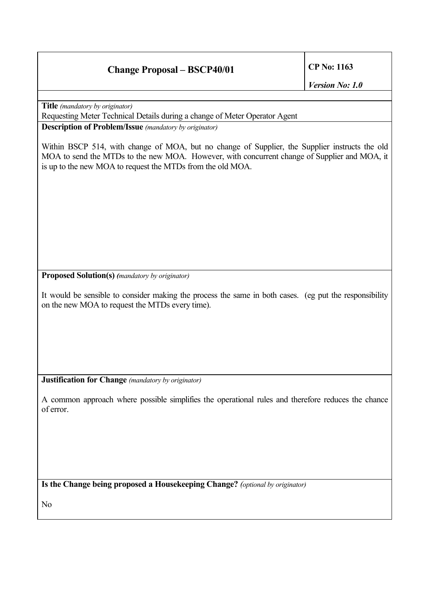## **Change Proposal – BSCP40/01 CP No: 1163**

*Version No: 1.0*

**Title** *(mandatory by originator)*

Requesting Meter Technical Details during a change of Meter Operator Agent

**Description of Problem/Issue** *(mandatory by originator)*

Within BSCP 514, with change of MOA, but no change of Supplier, the Supplier instructs the old MOA to send the MTDs to the new MOA. However, with concurrent change of Supplier and MOA, it is up to the new MOA to request the MTDs from the old MOA.

**Proposed Solution(s)** *(mandatory by originator)*

It would be sensible to consider making the process the same in both cases. (eg put the responsibility on the new MOA to request the MTDs every time).

**Justification for Change** *(mandatory by originator)*

A common approach where possible simplifies the operational rules and therefore reduces the chance of error.

**Is the Change being proposed a Housekeeping Change?** *(optional by originator)*

No